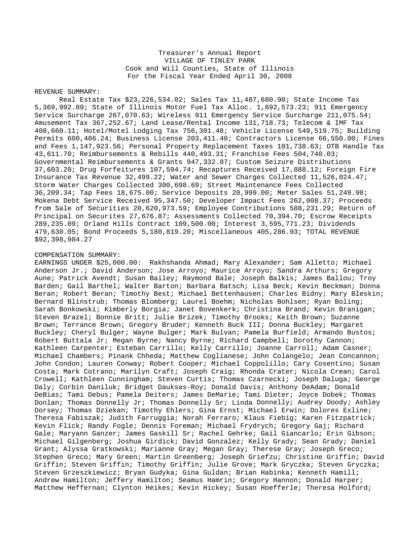## Treasurer's Annual Report VILLAGE OF TINLEY PARK Cook and Will Counties, State of Illinois For the Fiscal Year Ended April 30, 2008

## REVENUE SUMMARY:

Real Estate Tax \$23,226,534.02; Sales Tax 11,487,680.90; State Income Tax 5,369,992.89; State of Illinois Motor Fuel Tax Alloc. 1,692,573.23; 911 Emergency Service Surcharge 267,070.63; Wireless 911 Emergency Service Surcharge 211,075.54; Amusement Tax 367,252.67; Land Lease/Rental Income 131,718.73; Telecom & IMF Tax 408,660.11; Hotel/Motel Lodging Tax 756,301.48; Vehicle License 549,519.75; Building Permits 600,486.24; Business License 203,411.40; Contractors License 66,550.00; Fines and Fees 1,147,923.56; Personal Property Replacement Taxes 101,738.63; OTB Handle Tax 43,611.70; Reimbursements & Rebills 440,493.31; Franchise Fees 504,740.03; Governmental Reimbursements & Grants 947,332.87; Custom Seizure Distributions 37,603.20; Drug Forfeitures 107,594.74; Recaptures Received 17,888.12; Foreign Fire Insurance Tax Revenue 32,499.22; Water and Sewer Charges Collected 11,526,024.47; Storm Water Charges Collected 300,698.69; Street Maintenance Fees Collected 36,209.34; Tap Fees 18,675.00; Service Deposits 20,999.00; Meter Sales 51,249.98; Mokena Debt Service Received 95,347.50; Developer Impact Fees 262,008.37; Proceeds from Sale of Securities 20,620,973.59; Employee Contributions 588,231.29; Return of Principal on Securites 27,676.87; Assessments Collected 70,394.70; Escrow Receipts 289,235.09; Orland Hills Contract 109,500.00; Interest 3,595,771.23; Dividends 479,630.05; Bond Proceeds 5,180,819.20; Miscellaneous 405,286.93; TOTAL REVENUE \$92,398,984.27

## COMPENSATION SUMMARY:

EARNINGS UNDER \$25,000.00: Rakhshanda Ahmad; Mary Alexander; Sam Alletto; Michael Anderson Jr.; David Anderson; Jose Arroyo; Maurice Arroyo; Sandra Arthurs; Gregory Aune; Patrick Avendt; Susan Bailey; Raymond Bale; Joseph Balkis; James Ballou; Troy Barden; Gail Barthel; Walter Barton; Barbara Batsch; Lisa Beck; Kevin Beckman; Donna Beran; Robert Beran; Timothy Best; Michael Bettenhausen; Charles Bidny; Mary Bleskin; Bernard Blinstrub; Thomas Blomberg; Laurel Boehm; Nicholas Bohlsen; Ryan Boling; Sarah Bonkowski; Kimberly Borgia; Janet Bovenkerk; Christina Brand; Kevin Branigan; Steven Brazel; Bonnie Britt; Julie Brizek; Timothy Brooks; Keith Brown; Suzanne Brown; Terrance Brown; Gregory Bruder; Kenneth Buck III; Donna Buckley; Margaret Buckley; Cheryl Bulger; Wayne Bulger; Mark Bulvan; Pamela Burfield; Armando Bustos; Robert Buttala Jr; Megan Byrne; Nancy Byrne; Richard Campbell; Dorothy Cannon; Kathleen Carpenter; Esteban Carrillo; Kelly Carrillo; Joanne Carroll; Adam Casner; Michael Chambers; Pinank Chheda; Matthew Coglianese; John Colangelo; Jean Concannon; John Condon; Lauren Conway; Robert Cooper; Michael Coppolillo; Cary Cosentino; Susan Costa; Mark Cotrano; Marilyn Craft; Joseph Craig; Rhonda Crater; Nicola Crean; Carol Crowell; Kathleen Cunningham; Steven Curtis; Thomas Czarnecki; Joseph Daluga; George Daly; Corbin Daniluk; Bridget Dauksas-Roy; Donald Davis; Anthony DeAdam; Donald DeBias; Tami Debus; Pamela Deiters; James DeMarie; Tami Dieter; Joyce Dobek; Thomas Donlan; Thomas Donnelly Jr; Thomas Donnelly Sr; Linda Donnelly; Audrey Doody; Ashley Dorsey; Thomas Dziekan; Timothy Ehlers; Gina Ernst; Michael Erwin; Dolores Exline; Theresa Fabiszak; Judith Farruggia; Norah Ferraro; Klaus Fiebig; Karen Fitzpatrick; Kevin Flick; Randy Fogle; Dennis Foreman; Michael Frydrych; Gregory Gaj; Richard Gale; Maryann Ganzer; James Gaskill Sr; Rachel Gehrke; Gail Giancarlo; Erin Gibson; Michael Gilgenberg; Joshua Girdick; David Gonzalez; Kelly Grady; Sean Grady; Daniel Grant; Alyssa Gratkowski; Marianne Gray; Megan Gray; Therese Gray; Joseph Greco; Stephen Greco; Mary Green; Martin Greenberg; Joseph Griefzu; Christine Griffin; David Griffin; Steven Griffin; Timothy Griffin; Julie Grove; Mark Gryczka; Steven Gryczka; Steven Grzeszkiewicz; Bryan Gudyka; Gina Guldan; Brian Habinka; Kenneth Hamill; Andrew Hamilton; Jeffery Hamilton; Seamus Hamrin; Gregory Hannon; Donald Harper; Matthew Heffernan; Clynton Heikes; Kevin Hickey; Susan Hoefferle; Theresa Holford;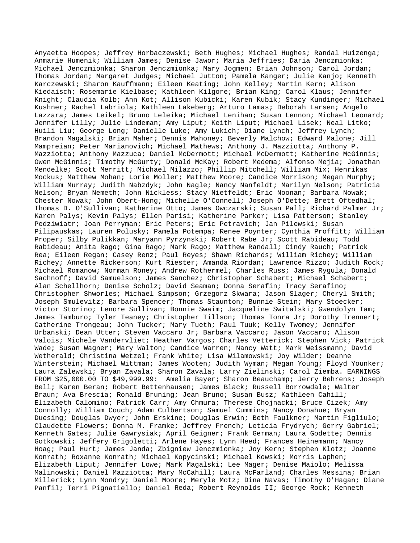Anyaetta Hoopes; Jeffrey Horbaczewski; Beth Hughes; Michael Hughes; Randal Huizenga; Anmarie Humenik; William James; Denise Jawor; Maria Jeffries; Daria Jenczmionka; Michael Jenczmionka; Sharon Jenczmionka; Mary Jogmen; Brian Johnson; Carol Jordan; Thomas Jordan; Margaret Judges; Michael Jutton; Pamela Kanger; Julie Kanjo; Kenneth Karczewski; Sharon Kauffmann; Eileen Keating; John Kelley; Martin Kern; Alison Kiedaisch; Rosemarie Kielbase; Kathleen Kilgore; Brian King; Carol Klaus; Jennifer Knight; Claudia Kolb; Ann Kot; Allison Kubicki; Karen Kubik; Stacy Kundinger; Michael Kushner; Rachel Labriola; Kathleen Lakeberg; Arturo Lamas; Deborah Larsen; Angelo Lazzara; James Leikel; Bruno Leleika; Michael Lenihan; Susan Lennon; Michael Leonard; Jennifer Lilly; Julie Lindeman; Amy Liput; Keith Liput; Michael Lisek; Neal Litko; Huili Liu; George Long; Danielle Luke; Amy Lukich; Diane Lynch; Jeffrey Lynch; Brandon Magalski; Brian Maher; Dennis Mahoney; Beverly Malchow; Edward Malone; Jill Mampreian; Peter Marianovich; Michael Mathews; Anthony J. Mazziotta; Anthony P. Mazziotta; Anthony Mazzuca; Daniel McDermott; Michael McDermott; Katherine McGinnis; Owen McGinnis; Timothy McGurty; Donald McKay; Robert Medema; Alfonso Mejia; Jonathan Mendelke; Scott Merritt; Michael Milazzo; Phillip Mitchell; William Mix; Henrikas Mockus; Matthew Mohan; Lorie Moller; Matthew Moore; Candice Morrison; Megan Murphy; William Murray; Judith Nabzdyk; John Nagle; Nancy Nanfeldt; Marilyn Nelson; Patricia Nelson; Bryan Nemeth; John Nickless; Stacy Nietfeldt; Eric Noonan; Barbara Nowak; Chester Nowak; John Obert-Hong; Michelle O'Connell; Joseph O'Dette; Brett Oftedhal; Thomas D. O'Sullivan; Katherine Otto; James Owczarski; Susan Pall; Richard Palmer Jr; Karen Palys; Kevin Palys; Ellen Parisi; Katherine Parker; Lisa Patterson; Stanley Pedziwiatr; Joan Perryman; Eric Peters; Eric Petravich; Jan Pilewski; Susan Pilipauskas; Lauren Polusky; Pamela Potempa; Renee Poynter; Cynthia Proffitt; William Proper; Silby Pulikkan; Maryann Pyrzynski; Robert Rabe Jr; Scott Rabideau; Todd Rabideau; Anita Rago; Gina Rago; Mark Rago; Matthew Randall; Cindy Rauch; Patrick Rea; Eileen Regan; Casey Renz; Paul Reyes; Shawn Richards; William Richey; William Richey; Annette Rickerson; Kurt Riester; Amanda Riordan; Lawrence Rizzo; Judith Rock; Michael Romanow; Norman Roney; Andrew Rothermel; Charles Russ; James Rygula; Donald Sachnoff; David Samuelson; James Sanchez; Christopher Schabert; Michael Schabert; Alan Schellhorn; Denise Scholz; David Seaman; Donna Serafin; Tracy Serafino; Christopher Shworles; Michael Simpson; Grzegorz Skwara; Jason Slager; Cheryl Smith; Joseph Smulevitz; Barbara Spencer; Thomas Staunton; Bunnie Stein; Mary Stoecker; Victor Storino; Lenore Sullivan; Bonnie Swaim; Jacqueline Switalski; Gwendolyn Tam; James Tamburo; Tyler Teaney; Christopher Tillson; Thomas Tonra Jr; Dorothy Trennert; Catherine Trongeau; John Tucker; Mary Tueth; Paul Tuuk; Kelly Twomey; Jennifer Urbanski; Dean Utter; Steven Vaccaro Jr; Barbara Vaccaro; Jason Vaccaro; Alison Valois; Michele Vandervliet; Heather Vargos; Charles Vetterick; Stephen Vick; Patrick Wade; Susan Wagner; Mary Walton; Candice Warren; Nancy Watt; Mark Weissmann; David Wetherald; Christina Wetzel; Frank White; Lisa Wilamowski; Joy Wilder; Deanne Winterstein; Michael Wittman; James Wooten; Judith Wyman; Megan Young; Floyd Younker; Laura Zalewski; Bryan Zavala; Sharon Zavala; Larry Zielinski; Carol Ziemba. EARNINGS FROM \$25,000.00 TO \$49,999.99: Amelia Bayer; Sharon Beauchamp; Jerry Behrens; Joseph Bell; Karen Beran; Robert Bettenhausen; James Black; Russell Borrowdale; Walter Braun; Ava Brescia; Ronald Bruning; Jean Bruno; Susan Busz; Kathleen Cahill; Elizabeth Calomino; Patrick Carr; Amy Chmura; Therese Chojnacki; Bruce Cizek; Amy Connolly; William Couch; Adam Culbertson; Samuel Cummins; Nancy Donahue; Bryan Duesing; Douglas Dwyer; John Erskine; Douglas Erwin; Beth Faulkner; Martin Figliulo; Claudette Flowers; Donna M. Framke; Jeffrey French; Leticia Frydrych; Gerry Gabriel; Kenneth Gates; Julie Gawrysiak; April Geigner; Frank German; Laura Godette; Dennis Gotkowski; Jeffery Grigoletti; Arlene Hayes; Lynn Heed; Frances Heinemann; Nancy Hoag; Paul Hurt; James Janda; Zbigniew Jenczmionka; Joy Kern; Stephen Klotz; Joanne Konrath; Roxanne Konrath; Michael Kopycinski; Michael Kowski; Morris Laphen; Elizabeth Liput; Jennifer Lowe; Mark Magalski; Lee Mager; Denise Maiolo; Melissa Malinowski; Daniel Mazziotta; Mary McCahill; Laura McFarland; Charles Messina; Brian Millerick; Lynn Mondry; Daniel Moore; Meryle Motz; Dina Navas; Timothy O'Hagan; Diane Panfil; Terri Pignatiello; Daniel Reda; Robert Reynolds II; George Rock; Kenneth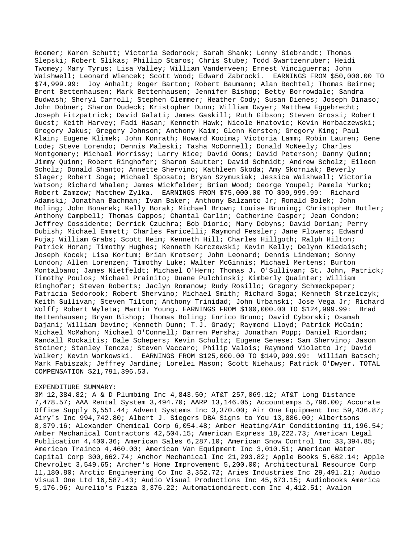Roemer; Karen Schutt; Victoria Sedorook; Sarah Shank; Lenny Siebrandt; Thomas Slepski; Robert Slikas; Phillip Staros; Chris Stube; Todd Swartzenruber; Heidi Twomey; Mary Tyrus; Lisa Valley; William Vanderveen; Ernest Vinciguerra; John Waishwell; Leonard Wiencek; Scott Wood; Edward Zabrocki. EARNINGS FROM \$50,000.00 TO \$74,999.99: Joy Anhalt; Roger Barton; Robert Baumann; Alan Bechtel; Thomas Beirne; Brent Bettenhausen; Mark Bettenhausen; Jennifer Bishop; Betty Borrowdale; Sandra Budwash; Sheryl Carroll; Stephen Clemmer; Heather Cody; Susan Dienes; Joseph Dinaso; John Dobner; Sharon Dudeck; Kristopher Dunn; William Dwyer; Matthew Eggebrecht; Joseph Fitzpatrick; David Galati; James Gaskill; Ruth Gibson; Steven Grossi; Robert Guest; Keith Harvey; Fadi Hasan; Kenneth Hawk; Nicole Hnatovic; Kevin Horbaczewski; Gregory Jakus; Gregory Johnson; Anthony Kaim; Glenn Kersten; Gregory King; Paul Klain; Eugene Klimek; John Konrath; Howard Kooima; Victoria Lamm; Robin Lauren; Gene Lode; Steve Lorendo; Dennis Maleski; Tasha McDonnell; Donald McNeely; Charles Montgomery; Michael Morrissy; Larry Nice; David Ooms; David Peterson; Danny Quinn; Jimmy Quinn; Robert Ringhofer; Sharon Sautter; David Schmidt; Andrew Scholz; Eileen Scholz; Donald Shanto; Annette Shervino; Kathleen Skoda; Amy Skorniak; Beverly Slager; Robert Soga; Michael Sposato; Bryan Szymusiak; Jessica Waishwell; Victoria Watson; Richard Whalen; James Wickfelder; Brian Wood; George Youpel; Pamela Yurko; Robert Zamzow; Matthew Zylka. EARNINGS FROM \$75,000.00 TO \$99,999.99: Richard Adamski; Jonathan Bachman; Ivan Baker; Anthony Balzanto Jr; Ronald Bolek; John Boling; John Bonarek; Kelly Borak; Michael Brown; Louise Bruning; Christopher Butler; Anthony Campbell; Thomas Cappos; Chantal Carlin; Catherine Casper; Jean Condon; Jeffrey Cossidente; Derrick Czuchra; Bob Diorio; Mary Dobyns; David Dorian; Perry Dubish; Michael Emmett; Charles Faricelli; Raymond Fessler; Jane Flowers; Edward Fuja; William Grabs; Scott Heim; Kenneth Hill; Charles Hillgoth; Ralph Hilton; Patrick Horan; Timothy Hughes; Kenneth Karczewski; Kevin Kelly; Delynn Kiedaisch; Joseph Kocek; Lisa Kortum; Brian Krotser; John Leonard; Dennis Lindeman; Sonny London; Allen Lorenzen; Timothy Luke; Walter McGinnis; Michael Mertens; Burton Montalbano; James Nietfeldt; Michael O'Hern; Thomas J. O'Sullivan; St. John, Patrick; Timothy Poulos; Michael Prainito; Duane Pulchinski; Kimberly Quainter; William Ringhofer; Steven Roberts; Jaclyn Romanow; Rudy Rosillo; Gregory Schmeckpeper; Patricia Sedorook; Robert Shervino; Michael Smith; Richard Soga; Kenneth Strzelczyk; Keith Sullivan; Steven Tilton; Anthony Trinidad; John Urbanski; Jose Vega Jr; Richard Wolff; Robert Wyleta; Martin Young. EARNINGS FROM \$100,000.00 TO \$124,999.99: Brad Bettenhausen; Bryan Bishop; Thomas Boling; Enrico Bruno; David Cyborski; Osamah Dajani; William Devine; Kenneth Dunn; T.J. Grady; Raymond Lloyd; Patrick McCain; Michael McMahon; Michael O'Connell; Darren Persha; Jonathan Popp; Daniel Riordan; Randall Rockaitis; Dale Schepers; Kevin Schultz; Eugene Senese; Sam Shervino; Jason Stoiner; Stanley Tencza; Steven Vaccaro; Philip Valois; Raymond Violetto Jr; David Walker; Kevin Workowski. EARNINGS FROM \$125,000.00 TO \$149,999.99: William Batsch; Mark Fabiszak; Jeffrey Jardine; Lorelei Mason; Scott Niehaus; Patrick O'Dwyer. TOTAL COMPENSATION \$21,791,396.53.

## EXPENDITURE SUMMARY:

3M 12,384.82; A & D Plumbing Inc 4,843.50; AT&T 257,069.12; AT&T Long Distance 7,478.57; AAA Rental System 3,494.70; AARP 13,146.05; Accountemps 5,796.00; Accurate Office Supply 6,551.44; Advent Systems Inc 3,370.00; Air One Equipment Inc 59,436.87; Airy's Inc 994,742.80; Albert J. Siegers DBA Signs to You 13,886.00; Albertsons 8,379.16; Alexander Chemical Corp 6,054.48; Amber Heating/Air Conditioning 11,196.54; Amber Mechanical Contractors 42,504.15; American Express 18,222.73; American Legal Publication 4,400.36; American Sales 6,287.10; American Snow Control Inc 33,394.85; American Trainco 4,460.00; American Van Equipment Inc 3,010.51; American Water Capital Corp 300,662.74; Anchor Mechanical Inc 21,293.82; Apple Books 5,682.14; Apple Chevrolet 3,549.65; Archer's Home Improvement 5,200.00; Architectural Resource Corp 11,180.80; Arctic Engineering Co Inc 3,352.72; Aries Industries Inc 29,491.21; Audio Visual One Ltd 16,587.43; Audio Visual Productions Inc 45,673.15; Audiobooks America 5,176.96; Aurelio's Pizza 3,376.22; Automationdirect.com Inc 4,412.51; Avalon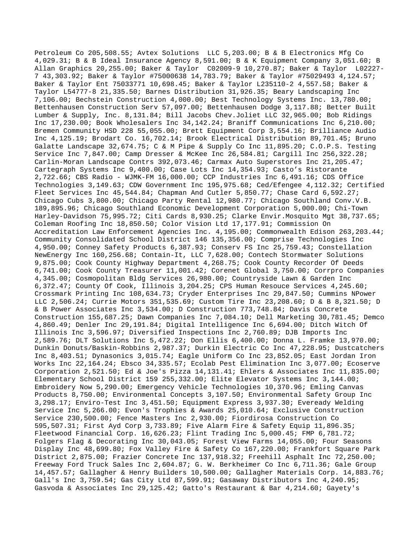Petroleum Co 205,508.55; Avtex Solutions LLC 5,203.00; B & B Electronics Mfg Co 4,029.31; B & B Ideal Insurance Agency 8,591.00; B & K Equipment Company 3,051.60; B Allan Graphics 20,255.00; Baker & Taylor C02009-9 10,270.87; Baker & Taylor L02227- 7 43,303.92; Baker & Taylor #75000638 14,783.79; Baker & Taylor #75029493 4,124.57; Baker & Taylor Ent 75033771 10,698.45; Baker & Taylor L235110-2 4,557.58; Baker & Taylor L54777-8 21,335.50; Barnes Distribution 31,926.35; Beary Landscaping Inc 7,106.00; Bechstein Construction 4,000.00; Best Technology Systems Inc. 13,780.00; Bettenhausen Construction Serv 57,097.00; Bettenhausen Dodge 3,117.88; Better Built Lumber & Supply, Inc. 8,131.84; Bill Jacobs Chev.Joliet LLC 32,965.00; Bob Ridings Inc 17,230.00; Book Wholesalers Inc 34,142.24; Braniff Communications Inc 6,210.00; Bremen Community HSD 228 55,055.00; Brett Equipment Corp 3,554.16; Brilliance Audio Inc 4,125.19; Brodart Co. 16,702.14; Brook Electrical Distribution 89,701.45; Bruno Galatte Landscape 32,674.75; C & M Pipe & Supply Co Inc 11,895.20; C.O.P.S. Testing Service Inc 7,847.00; Camp Dresser & McKee Inc 26,584.81; Cargill Inc 256,322.28; Carlin-Moran Landscape Contrs 392,073.46; Carmax Auto Superstores Inc 21,205.47; Cartegraph Systems Inc 9,400.00; Case Lots Inc 14,354.93; Casto's Ristorante 2,722.66; CBS Radio - WJMK-FM 16,000.00; CCP Industries Inc 6,491.16; CDS Office Technologies 3,149.63; CDW Government Inc 195,975.68; Ced/Efengee 4,112.32; Certified Fleet Services Inc 45,544.84; Chapman And Cutler 5,850.77; Chase Card 6,592.27; Chicago Cubs 3,800.00; Chicago Party Rental 12,980.77; Chicago Southland Conv.V.B. 189,895.96; Chicago Southland Economic Development Corporation 5,000.00; Chi-Town Harley-Davidson 75,995.72; Citi Cards 8,930.25; Clarke Envir.Mosquito Mgt 38,737.65; Coleman Roofing Inc 18,850.50; Color Vision Ltd 17,177.91; Commission On Accreditation Law Enforcement Agencies Inc. 4,195.00; Commonwealth Edison 263,203.44; Community Consolidated School District 146 135,356.00; Comprise Technologies Inc 4,950.00; Conney Safety Products 6,387.93; Conserv FS Inc 25,759.43; Constellation NewEnergy Inc 160,256.68; Contain-It, LLC 7,628.00; Contech Stormwater Solutions 9,875.00; Cook County Highway Department 4,268.75; Cook County Recorder Of Deeds 6,741.00; Cook County Treasurer 11,001.42; Corenet Global 3,750.00; Corrpro Companies 4,345.00; Cosmopolitan Bldg Services 26,980.00; Countryside Lawn & Garden Inc 6,372.47; County Of Cook, Illinois 3,204.25; CPS Human Resouce Services 4,245.60; Crossmark Printing Inc 108,634.73; Cryder Enterprises Inc 29,847.50; Cummins NPower LLC 2,506.24; Currie Motors 351,535.69; Custom Tire Inc 23,208.60; D & B 8,321.50; D & B Power Associates Inc 3,534.00; D Construction 773,748.84; Davis Concrete Construction 155,687.25; Dawn Companies Inc 7,084.10; Dell Marketing 30,781.45; Demco 4,860.49; Denler Inc 29,191.84; Digital Intelligence Inc 6,694.00; Ditch Witch Of Illinois Inc 3,596.97; Diversified Inspections Inc 2,760.89; DJB Imports Inc 2,589.76; DLT Solutions Inc 5,472.22; Don Ellis 6,400.00; Donna L. Framke 13,970.00; Dunkin Donuts/Baskin-Robbins 2,987.37; Durkin Electric Co Inc 47,228.95; Dustcatchers Inc 8,403.51; Dynasonics 3,015.74; Eagle Uniform Co Inc 23,852.05; East Jordan Iron Works Inc 22,164.24; Ebsco 34,335.57; Ecolab Pest Elimination Inc 3,077.00; Ecoserve Corporation 2,521.50; Ed & Joe's Pizza 14,131.41; Ehlers & Associates Inc 11,835.00; Elementary School District 159 255,332.00; Elite Elevator Systems Inc 3,144.00; Embroidery Now 5,290.00; Emergency Vehicle Technologies 10,370.96; Emling Canvas Products 8,750.00; Environmental Concepts 3,107.50; Environmental Safety Group Inc 3,298.17; Enviro-Test Inc 3,451.50; Equipment Express 3,937.30; Eveready Welding Service Inc 5,266.00; Evon's Trophies & Awards 25,010.64; Exclusive Construction Service 230,500.00; Fence Masters Inc 2,930.00; Fiordirosa Construction Co 595,507.31; First Ayd Corp 3,733.89; Five Alarm Fire & Safety Equip 11,896.35; Fleetwood Financial Corp. 16,626.23; Flint Trading Inc 5,000.45; FMP 6,781.72; Folgers Flag & Decorating Inc 30,043.05; Forest View Farms 14,055.00; Four Seasons Display Inc 48,699.80; Fox Valley Fire & Safety Co 167,220.00; Frankfort Square Park District 2,875.00; Frazier Concrete Inc 137,918.32; Freehill Asphalt Inc 72,250.00; Freeway Ford Truck Sales Inc 2,604.87; G. W. Berkheimer Co Inc 6,711.36; Gale Group 14,457.57; Gallagher & Henry Builders 10,500.00; Gallagher Materials Corp. 14,883.76; Gall's Inc 3,759.54; Gas City Ltd 87,599.91; Gasaway Distributors Inc 4,240.95; Gasvoda & Associates Inc 29,125.42; Gatto's Restaurant & Bar 4,214.60; Gayety's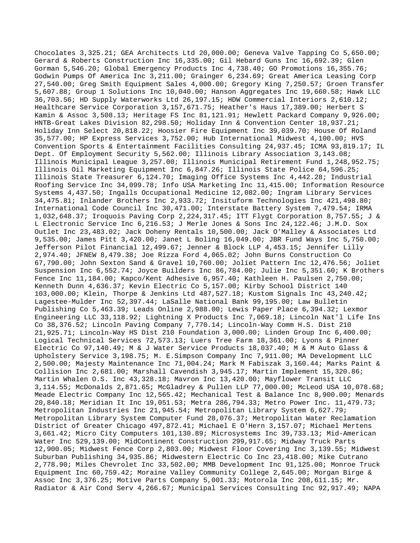Chocolates 3,325.21; GEA Architects Ltd 20,000.00; Geneva Valve Tapping Co 5,650.00; Gerard & Roberts Construction Inc 16,335.00; Gil Hebard Guns Inc 16,692.39; Glen Gorman 5,546.20; Global Emergency Products Inc 4,738.40; GO Promotions 16,355.76; Godwin Pumps Of America Inc 3,211.00; Grainger 6,234.69; Great America Leasing Corp 27,540.00; Greg Smith Equipment Sales 4,000.00; Gregory King 7,250.57; Groen Transfer 5,607.88; Group 1 Solutions Inc 10,040.00; Hanson Aggregates Inc 19,660.58; Hawk LLC 36,703.56; HD Supply Waterworks Ltd 26,197.15; HDW Commercial Interiors 2,610.12; Healthcare Service Corporation 3,157,671.75; Heather's Haus 17,389.00; Herbert S Kamin & Assoc 3,508.13; Heritage FS Inc 81,121.91; Hewlett Packard Company 9,926.00; HNTB-Great Lakes Division 82,298.50; Holiday Inn & Convention Center 18,937.21; Holiday Inn Select 20,818.22; Hoosier Fire Equipment Inc 39,039.70; House Of Roland 35,577.00; HP Express Services 3,752.00; Hub International Midwest 4,100.00; HVS Convention Sports & Entertainment Facilities Consulting 24,937.45; ICMA 93,819.17; IL Dept. Of Employment Security 5,562.00; Illinois Library Association 3,143.08; Illinois Municipal League 3,257.00; Illinois Municipal Retirement Fund 1,248,952.75; Illinois Oil Marketing Equipment Inc 6,847.26; Illinois State Police 64,596.25; Illinois State Treasurer 6,124.70; Imaging Office Systems Inc 4,442.28; Industrial Roofing Service Inc 34,099.78; Info USA Marketing Inc 11,415.00; Information Resource Systems 4,437.50; Ingalls Occupational Medicine 12,082.00; Ingram Library Services 34,475.81; Inlander Brothers Inc 2,933.72; Insituform Technologies Inc 421,498.80; International Code Council Inc 30,471.00; Interstate Battery System 7,479.54; IRMA 1,032,648.37; Iroquois Paving Corp 2,224,317.45; ITT Flygt Corporation 8,757.55; J & L Electronic Service Inc 6,216.53; J Merle Jones & Sons Inc 24,122.46; J.M.D. Sox Outlet Inc 23,483.02; Jack Doheny Rentals 10,500.00; Jack O'Malley & Associates Ltd 9,535.00; James Pitt 3,420.00; Janet L Boling 16,049.00; JBR Fund Ways Inc 5,750.00; Jefferson Pilot Financial 12,499.67; Jenner & Block LLP 4,453.15; Jennifer Lilly 2,974.40; JFNEW 8,479.38; Joe Rizza Ford 4,065.02; John Burns Construction Co 67,790.00; John Sexton Sand & Gravel 10,760.00; Joliet Pattern Inc 12,476.56; Joliet Suspension Inc 6,552.74; Joyce Builders Inc 86,784.00; Julie Inc 5,351.60; K Brothers Fence Inc 11,184.00; Kapco/Kent Adhesive 6,957.40; Kathleen H. Paulsen 2,750.00; Kenneth Dunn 4,636.37; Kevin Electric Co 5,157.00; Kirby School District 140 103,000.00; Klein, Thorpe & Jenkins Ltd 487,527.18; Kustom Signals Inc 43,240.42; Lagestee-Mulder Inc 52,397.44; LaSalle National Bank 99,195.00; Law Bulletin Publishing Co 5,463.39; Leads Online 2,988.00; Lewis Paper Place 6,394.32; Lexmor Engineering LLC 33,118.92; Lightning X Products Inc 7,069.18; Lincoln Nat'l Life Ins Co 38,376.52; Lincoln Paving Company 7,770.14; Lincoln-Way Comm H.S. Dist 210 21,925.71; Lincoln-Way HS Dist 210 Foundation 3,000.00; Linden Group Inc 6,400.00; Logical Technical Services 72,573.13; Luers Tree Farm 18,361.00; Lyons & Pinner Electric Co 97,140.49; M & J Water Service Products 18,037.40; M & M Auto Glass & Upholstery Service 3,198.75; M. E.Simpson Company Inc 7,911.00; MA Development LLC 2,500.00; Majesty Maintenance Inc 71,004.24; Mark M Fabiszak 3,160.44; Marks Paint & Collision Inc 2,681.00; Marshall Cavendish 3,945.17; Martin Implement 15,320.86; Martin Whalen O.S. Inc 43,328.18; Mavron Inc 13,420.00; Mayflower Transit LLC 3,114.55; McDonalds 2,871.65; McGladrey & Pullen LLP 77,000.00; McLeod USA 10,078.68; Meade Electric Company Inc 12,565.42; Mechanical Test & Balance Inc 8,900.00; Menards 20,840.18; Meridian It Inc 19,051.53; Metra 286,794.33; Metro Power Inc. 11,479.73; Metropolitan Industries Inc 21,945.54; Metropolitan Library System 6,627.79; Metropolitan Library System Computer Fund 28,076.37; Metropolitan Water Reclamation District of Greater Chicago 497,872.41; Michael E O'Hern 3,157.07; Michael Mertens 3,661.42; Micro City Computers 101,130.89; Microsystems Inc 39,733.13; Mid-American Water Inc 529,139.00; MidContinent Construction 299,917.65; Midway Truck Parts 12,900.05; Midwest Fence Corp 2,803.00; Midwest Floor Covering Inc 3,139.55; Midwest Suburban Publishing 34,935.86; Midwestern Electric Co Inc 23,418.00; Mike Cutrano 2,778.90; Miles Chevrolet Inc 33,502.00; MMB Development Inc 91,125.00; Monroe Truck Equipment Inc 60,759.42; Moraine Valley Community College 2,645.00; Morgan Birge & Assoc Inc 3,376.25; Motive Parts Company 5,001.33; Motorola Inc 208,611.15; Mr. Radiator & Air Cond Serv 4,266.67; Municipal Services Consulting Inc 92,917.49; NAPA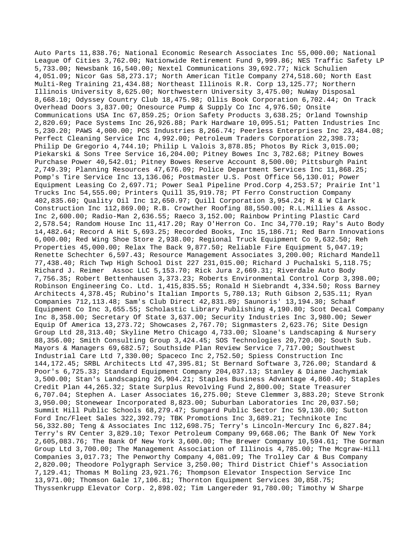Auto Parts 11,838.76; National Economic Research Associates Inc 55,000.00; National League Of Cities 3,762.00; Nationwide Retirement Fund 9,999.86; NES Traffic Safety LP 5,733.00; Newsbank 16,540.00; Nextel Communications 39,692.77; Nick Schulien 4,051.09; Nicor Gas 58,273.17; North American Title Company 274,518.60; North East Multi-Reg Training 21,434.88; Northeast Illinois R.R. Corp 13,125.77; Northern Illinois University 8,625.00; Northwestern University 3,475.00; NuWay Disposal 8,668.10; Odyssey Country Club 18,475.98; Ollis Book Corporation 6,702.44; On Track Overhead Doors 3,837.00; Onesource Pump & Supply Co Inc 4,976.50; Onsite Communications USA Inc 67,859.25; Orion Safety Products 3,638.25; Orland Township 2,820.69; Pace Systems Inc 26,926.88; Park Hardware 10,095.51; Patten Industries Inc 5,230.20; PAWS 4,000.00; PCS Industries 8,266.74; Peerless Enterprises Inc 23,484.08; Perfect Cleaning Service Inc 4,992.00; Petroleum Traders Corporation 22,398.73; Philip De Gregorio 4,744.10; Philip L Valois 3,878.85; Photos By Rick 3,015.00; Piekarski & Sons Tree Service 16,204.00; Pitney Bowes Inc 3,782.68; Pitney Bowes Purchase Power 40,542.01; Pitney Bowes Reserve Account 8,500.00; Pittsburgh Paint 2,749.39; Planning Resources 47,676.09; Police Department Services Inc 11,868.25; Pomp's Tire Service Inc 13,136.06; Postmaster U.S. Post Office 56,130.01; Power Equipment Leasing Co 2,697.71; Power Seal Pipeline Prod.Corp 4,253.57; Prairie Int'l Trucks Inc 54,555.00; Printers Quill 35,919.78; PT Ferro Construction Company 402,835.60; Quality Oil Inc 12,650.97; Quill Corporation 3,954.24; R & W Clark Construction Inc 112,869.00; R.B. Crowther Roofing 88,550.00; R.L.Millies & Assoc. Inc 2,600.00; Radio-Man 2,636.55; Raeco 3,152.00; Rainbow Printing Plastic Card 2,578.54; Random House Inc 11,417.20; Ray O'Herron Co. Inc 34,770.19; Ray's Auto Body 14,482.64; Record A Hit 5,693.25; Recorded Books, Inc 15,186.71; Red Barn Innovations 6,000.00; Red Wing Shoe Store 2,938.00; Regional Truck Equipment Co 9,632.50; Reh Properties 45,000.00; Relax The Back 9,877.50; Reliable Fire Equipment 5,047.19; Renette Schechter 6,597.43; Resource Management Associates 3,200.00; Richard Mandell 77,438.40; Rich Twp High School Dist 227 231,015.00; Richard J Puchalski 5,118.75; Richard J. Reimer Assoc LLC 5,153.70; Rick Jura 2,669.31; Riverdale Auto Body 7,756.35; Robert Bettenhausen 3,373.23; Roberts Environmental Control Corp 3,398.00; Robinson Engineering Co. Ltd. 1,415,835.55; Ronald H Siebrandt 4,334.50; Ross Barney Architects 4,378.45; Rubino's Italian Imports 5,780.13; Ruth Gibson 2,535.11; Ryan Companies 712,113.48; Sam's Club Direct 42,831.89; Saunoris' 13,194.30; Schaaf Equipment Co Inc 3,655.55; Scholastic Library Publishing 4,190.80; Scot Decal Company Inc 8,358.00; Secretary Of State 3,637.00; Security Industries Inc 3,980.00; Sewer Equip Of America 13,273.72; Showcases 2,767.70; Signmasters 2,623.76; Site Design Group Ltd 28,313.40; Skyline Metro Chicago 4,733.00; Sloane's Landscaping & Nursery 88,356.00; Smith Consulting Group 3,424.45; SOS Technologies 20,720.00; South Sub. Mayors & Managers 69,682.57; Southside Plan Review Service 7,717.00; Southwest Industrial Care Ltd 7,330.00; Spaceco Inc 2,752.50; Spiess Construction Inc 144,172.45; SRBL Architects Ltd 47,395.81; St Bernard Software 3,726.00; Standard & Poor's 6,725.33; Standard Equipment Company 204,037.13; Stanley & Diane Jachymiak 3,500.00; Stan's Landscaping 26,904.21; Staples Business Advantage 4,860.40; Staples Credit Plan 44,265.32; State Surplus Revolving Fund 2,800.00; State Treasurer 6,707.04; Stephen A. Laser Associates 16,275.00; Steve Clemmer 3,883.20; Steve Stronk 3,950.00; Stonewear Incorporated 8,823.00; Suburban Laboratories Inc 20,037.50; Summit Hill Public Schools 68,279.47; Sungard Public Sector Inc 59,130.00; Sutton Ford Inc/Fleet Sales 322,392.79; TBK Promotions Inc 3,689.21; Technikote Inc 56,332.80; Teng & Associates Inc 112,698.75; Terry's Lincoln-Mercury Inc 6,827.84; Terry's RV Center 3,829.10; Texor Petroleum Company 99,668.06; The Bank Of New York 2,605,083.76; The Bank Of New York 3,600.00; The Brewer Company 10,594.61; The Gorman Group Ltd 3,700.00; The Management Association of Illinois 4,785.00; The Mcgraw-Hill Companies 3,017.73; The Penworthy Company 4,081.09; The Trolley Car & Bus Company 2,820.00; Theodore Polygraph Service 3,250.00; Third District Chief's Association 7,129.41; Thomas M Boling 23,921.76; Thompson Elevator Inspection Service Inc 13,971.00; Thomson Gale 17,106.81; Thornton Equipment Services 30,858.75; Thyssenkrupp Elevator Corp. 2,898.02; Tim Langereder 91,780.00; Timothy W Sharpe